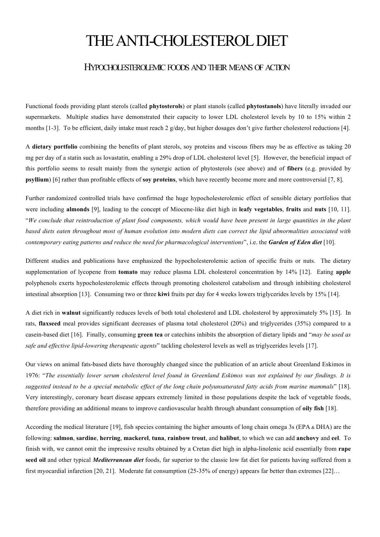## THE ANTI-CHOLESTEROL DIET

## HYPOCHOLESTEROLEMIC FOODS AND THEIR MEANS OF ACTION

Functional foods providing plant sterols (called **phytosterols**) or plant stanols (called **phytostanols**) have literally invaded our supermarkets. Multiple studies have demonstrated their capacity to lower LDL cholesterol levels by 10 to 15% within 2 months [1-3]. To be efficient, daily intake must reach 2 g/day, but higher dosages don't give further cholesterol reductions [4].

A **dietary portfolio** combining the benefits of plant sterols, soy proteins and viscous fibers may be as effective as taking 20 mg per day of a statin such as lovastatin, enabling a 29% drop of LDL cholesterol level [5]. However, the beneficial impact of this portfolio seems to result mainly from the synergic action of phytosterols (see above) and of **fibers** (e.g. provided by **psyllium**) [6] rather than profitable effects of **soy proteins**, which have recently become more and more controversial [7, 8].

Further randomized controlled trials have confirmed the huge hypocholesterolemic effect of sensible dietary portfolios that were including **almonds** [9], leading to the concept of Miocene-like diet high in **leafy vegetables**, **fruits** and **nuts** [10, 11]. "*We conclude that reintroduction of plant food components, which would have been present in large quantities in the plant based diets eaten throughout most of human evolution into modern diets can correct the lipid abnormalities associated with contemporary eating patterns and reduce the need for pharmacological interventions*", i.e. the *Garden of Eden diet* [10].

Different studies and publications have emphasized the hypocholesterolemic action of specific fruits or nuts. The dietary supplementation of lycopene from **tomato** may reduce plasma LDL cholesterol concentration by 14% [12]. Eating **apple** polyphenols exerts hypocholesterolemic effects through promoting cholesterol catabolism and through inhibiting cholesterol intestinal absorption [13]. Consuming two or three **kiwi** fruits per day for 4 weeks lowers triglycerides levels by 15% [14].

A diet rich in **walnut** significantly reduces levels of both total cholesterol and LDL cholesterol by approximately 5% [15]. In rats, **flaxseed** meal provides significant decreases of plasma total cholesterol (20%) and triglycerides (35%) compared to a casein-based diet [16]. Finally, consuming **green tea** or catechins inhibits the absorption of dietary lipids and "*may be used as safe and effective lipid-lowering therapeutic agents*" tackling cholesterol levels as well as triglycerides levels [17].

Our views on animal fats-based diets have thoroughly changed since the publication of an article about Greenland Eskimos in 1976: "*The essentially lower serum cholesterol level found in Greenland Eskimos was not explained by our findings. It is suggested instead to be a special metabolic effect of the long chain polyunsaturated fatty acids from marine mammals*" [18]. Very interestingly, coronary heart disease appears extremely limited in those populations despite the lack of vegetable foods, therefore providing an additional means to improve cardiovascular health through abundant consumption of **oily fish** [18].

According the medical literature [19], fish species containing the higher amounts of long chain omega 3s (EPA & DHA) are the following: **salmon**, **sardine**, **herring**, **mackerel**, **tuna**, **rainbow trout**, and **halibut**, to which we can add **anchovy** and **eel**. To finish with, we cannot omit the impressive results obtained by a Cretan diet high in alpha-linolenic acid essentially from **rape seed oil** and other typical *Mediterranean diet* foods, far superior to the classic low fat diet for patients having suffered from a first myocardial infarction [20, 21]. Moderate fat consumption (25-35% of energy) appears far better than extremes [22]…